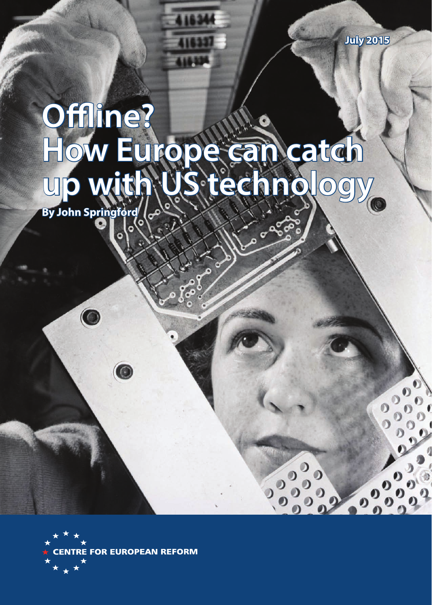$0\,0\,0$ 

# **Offline? How Europe can catch up with US technology**

**By John Springford** 

 $\bullet$ 



 $\overline{\mathbf{0}}$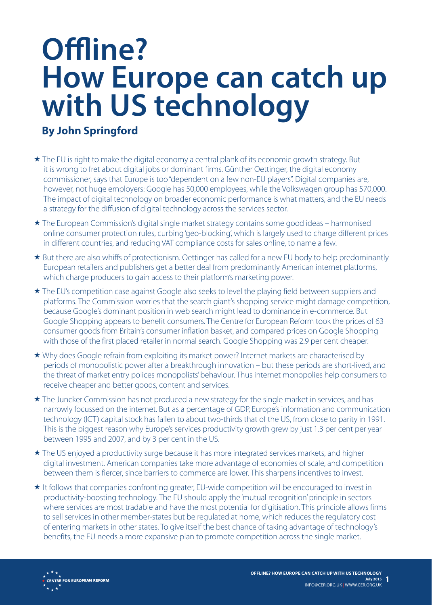# **Offline? How Europe can catch up with US technology**

# **By John Springford**

- $\star$  The EU is right to make the digital economy a central plank of its economic growth strategy. But it is wrong to fret about digital jobs or dominant firms. Günther Oettinger, the digital economy commissioner, says that Europe is too "dependent on a few non-EU players". Digital companies are, however, not huge employers: Google has 50,000 employees, while the Volkswagen group has 570,000. The impact of digital technology on broader economic performance is what matters, and the EU needs a strategy for the diffusion of digital technology across the services sector.
- The European Commission's digital single market strategy contains some good ideas harmonised online consumer protection rules, curbing 'geo-blocking', which is largely used to charge different prices in different countries, and reducing VAT compliance costs for sales online, to name a few.
- \* But there are also whiffs of protectionism. Oettinger has called for a new EU body to help predominantly European retailers and publishers get a better deal from predominantly American internet platforms, which charge producers to gain access to their platform's marketing power.
- The EU's competition case against Google also seeks to level the playing field between suppliers and platforms. The Commission worries that the search giant's shopping service might damage competition, because Google's dominant position in web search might lead to dominance in e-commerce. But Google Shopping appears to benefit consumers. The Centre for European Reform took the prices of 63 consumer goods from Britain's consumer inflation basket, and compared prices on Google Shopping with those of the first placed retailer in normal search. Google Shopping was 2.9 per cent cheaper.
- Why does Google refrain from exploiting its market power? Internet markets are characterised by periods of monopolistic power after a breakthrough innovation – but these periods are short-lived, and the threat of market entry polices monopolists' behaviour. Thus internet monopolies help consumers to receive cheaper and better goods, content and services.
- \* The Juncker Commission has not produced a new strategy for the single market in services, and has narrowly focussed on the internet. But as a percentage of GDP, Europe's information and communication technology (ICT) capital stock has fallen to about two-thirds that of the US, from close to parity in 1991. This is the biggest reason why Europe's services productivity growth grew by just 1.3 per cent per year between 1995 and 2007, and by 3 per cent in the US.
- The US enjoyed a productivity surge because it has more integrated services markets, and higher digital investment. American companies take more advantage of economies of scale, and competition between them is fiercer, since barriers to commerce are lower. This sharpens incentives to invest.
- $\star$  It follows that companies confronting greater, EU-wide competition will be encouraged to invest in productivity-boosting technology. The EU should apply the 'mutual recognition' principle in sectors where services are most tradable and have the most potential for digitisation. This principle allows firms to sell services in other member-states but be regulated at home, which reduces the regulatory cost of entering markets in other states. To give itself the best chance of taking advantage of technology's benefits, the EU needs a more expansive plan to promote competition across the single market.

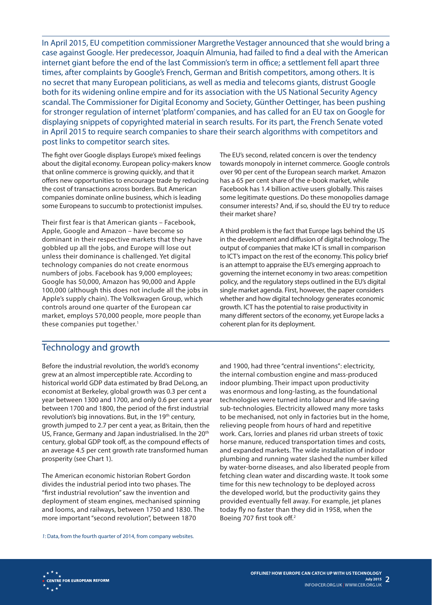In April 2015, EU competition commissioner Margrethe Vestager announced that she would bring a case against Google. Her predecessor, Joaquín Almunia, had failed to find a deal with the American internet giant before the end of the last Commission's term in office; a settlement fell apart three times, after complaints by Google's French, German and British competitors, among others. It is no secret that many European politicians, as well as media and telecoms giants, distrust Google both for its widening online empire and for its association with the US National Security Agency scandal. The Commissioner for Digital Economy and Society, Günther Oettinger, has been pushing for stronger regulation of internet 'platform' companies, and has called for an EU tax on Google for displaying snippets of copyrighted material in search results. For its part, the French Senate voted in April 2015 to require search companies to share their search algorithms with competitors and post links to competitor search sites.

The fight over Google displays Europe's mixed feelings about the digital economy. European policy-makers know that online commerce is growing quickly, and that it offers new opportunities to encourage trade by reducing the cost of transactions across borders. But American companies dominate online business, which is leading some Europeans to succumb to protectionist impulses.

Their first fear is that American giants – Facebook, Apple, Google and Amazon – have become so dominant in their respective markets that they have gobbled up all the jobs, and Europe will lose out unless their dominance is challenged. Yet digital technology companies do not create enormous numbers of jobs. Facebook has 9,000 employees; Google has 50,000, Amazon has 90,000 and Apple 100,000 (although this does not include all the jobs in Apple's supply chain). The Volkswagen Group, which controls around one quarter of the European car market, employs 570,000 people, more people than these companies put together.<sup>1</sup>

The EU's second, related concern is over the tendency towards monopoly in internet commerce. Google controls over 90 per cent of the European search market. Amazon has a 65 per cent share of the e-book market, while Facebook has 1.4 billion active users globally. This raises some legitimate questions. Do these monopolies damage consumer interests? And, if so, should the EU try to reduce their market share?

A third problem is the fact that Europe lags behind the US in the development and diffusion of digital technology. The output of companies that make ICT is small in comparison to ICT's impact on the rest of the economy. This policy brief is an attempt to appraise the EU's emerging approach to governing the internet economy in two areas: competition policy, and the regulatory steps outlined in the EU's digital single market agenda. First, however, the paper considers whether and how digital technology generates economic growth. ICT has the potential to raise productivity in many different sectors of the economy, yet Europe lacks a coherent plan for its deployment.

#### Technology and growth

Before the industrial revolution, the world's economy grew at an almost imperceptible rate. According to historical world GDP data estimated by Brad DeLong, an economist at Berkeley, global growth was 0.3 per cent a year between 1300 and 1700, and only 0.6 per cent a year between 1700 and 1800, the period of the first industrial revolution's big innovations. But, in the 19<sup>th</sup> century, growth jumped to 2.7 per cent a year, as Britain, then the US, France, Germany and Japan industrialised. In the 20<sup>th</sup> century, global GDP took off, as the compound effects of an average 4.5 per cent growth rate transformed human prosperity (see Chart 1).

The American economic historian Robert Gordon divides the industrial period into two phases. The "first industrial revolution" saw the invention and deployment of steam engines, mechanised spinning and looms, and railways, between 1750 and 1830. The more important "second revolution", between 1870

*1:* Data, from the fourth quarter of 2014, from company websites.

and 1900, had three "central inventions": electricity, the internal combustion engine and mass-produced indoor plumbing. Their impact upon productivity was enormous and long-lasting, as the foundational technologies were turned into labour and life-saving sub-technologies. Electricity allowed many more tasks to be mechanised, not only in factories but in the home, relieving people from hours of hard and repetitive work. Cars, lorries and planes rid urban streets of toxic horse manure, reduced transportation times and costs, and expanded markets. The wide installation of indoor plumbing and running water slashed the number killed by water-borne diseases, and also liberated people from fetching clean water and discarding waste. It took some time for this new technology to be deployed across the developed world, but the productivity gains they provided eventually fell away. For example, jet planes today fly no faster than they did in 1958, when the Boeing 707 first took off.2

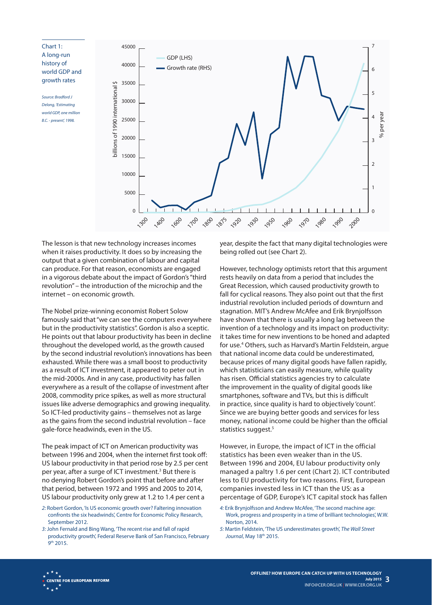

The lesson is that new technology increases incomes when it raises productivity. It does so by increasing the output that a given combination of labour and capital can produce. For that reason, economists are engaged in a vigorous debate about the impact of Gordon's "third revolution" – the introduction of the microchip and the internet – on economic growth.

The Nobel prize-winning economist Robert Solow famously said that "we can see the computers everywhere but in the productivity statistics". Gordon is also a sceptic. He points out that labour productivity has been in decline throughout the developed world, as the growth caused by the second industrial revolution's innovations has been exhausted. While there was a small boost to productivity as a result of ICT investment, it appeared to peter out in the mid-2000s. And in any case, productivity has fallen everywhere as a result of the collapse of investment after 2008, commodity price spikes, as well as more structural issues like adverse demographics and growing inequality. So ICT-led productivity gains – themselves not as large as the gains from the second industrial revolution – face gale-force headwinds, even in the US.

The peak impact of ICT on American productivity was between 1996 and 2004, when the internet first took off: US labour productivity in that period rose by 2.5 per cent per year, after a surge of ICT investment.<sup>3</sup> But there is no denying Robert Gordon's point that before and after that period, between 1972 and 1995 and 2005 to 2014, US labour productivity only grew at 1.2 to 1.4 per cent a

- *2:* Robert Gordon, 'Is US economic growth over? Faltering innovation confronts the six headwinds', Centre for Economic Policy Research, September 2012.
- *3:* John Fernald and Bing Wang, 'The recent rise and fall of rapid productivity growth', Federal Reserve Bank of San Francisco, February 9th 2015.

year, despite the fact that many digital technologies were being rolled out (see Chart 2).

However, technology optimists retort that this argument rests heavily on data from a period that includes the Great Recession, which caused productivity growth to fall for cyclical reasons. They also point out that the first industrial revolution included periods of downturn and stagnation. MIT's Andrew McAfee and Erik Brynjolfsson have shown that there is usually a long lag between the invention of a technology and its impact on productivity: it takes time for new inventions to be honed and adapted for use.4 Others, such as Harvard's Martin Feldstein, argue that national income data could be underestimated, because prices of many digital goods have fallen rapidly, which statisticians can easily measure, while quality has risen. Official statistics agencies try to calculate the improvement in the quality of digital goods like smartphones, software and TVs, but this is difficult in practice, since quality is hard to objectively 'count'. Since we are buying better goods and services for less money, national income could be higher than the official statistics suggest.<sup>5</sup>

However, in Europe, the impact of ICT in the official statistics has been even weaker than in the US. Between 1996 and 2004, EU labour productivity only managed a paltry 1.6 per cent (Chart 2). ICT contributed less to EU productivity for two reasons. First, European companies invested less in ICT than the US: as a percentage of GDP, Europe's ICT capital stock has fallen

- *4:* Erik Brynjolfsson and Andrew McAfee, 'The second machine age: Work, progress and prosperity in a time of brilliant technologies', W.W. Norton, 2014.
- *5:* Martin Feldstein, 'The US underestimates growth', *The Wall Street Journal*, May 18th 2015.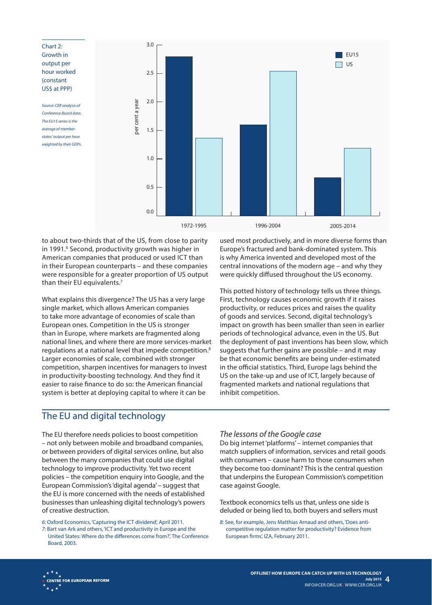3.0 Chart 2: Growth in  $EU15$ output per  $\Box$ UShour worked 2.5 (constant US\$ at PPP) 2.0 ber cent a year per cent a year *Source: CER analysis of Conference Board data. The EU15 series is the average of member-*1.5 *states' output per hour weighted by their GDPs.* 1.0 0.5  $0.0$ 1972-1995 1996-2004 2005-2014

to about two-thirds that of the US, from close to parity in 1991.<sup>6</sup> Second, productivity growth was higher in American companies that produced or used ICT than in their European counterparts – and these companies were responsible for a greater proportion of US output than their EU equivalents.<sup>7</sup>

What explains this divergence? The US has a very large single market, which allows American companies to take more advantage of economies of scale than European ones. Competition in the US is stronger than in Europe, where markets are fragmented along national lines, and where there are more services-market regulations at a national level that impede competition.8 Larger economies of scale, combined with stronger competition, sharpen incentives for managers to invest in productivity-boosting technology. And they find it easier to raise finance to do so: the American financial system is better at deploying capital to where it can be

used most productively, and in more diverse forms than Europe's fractured and bank-dominated system. This is why America invented and developed most of the central innovations of the modern age – and why they were quickly diffused throughout the US economy.

This potted history of technology tells us three things. First, technology causes economic growth if it raises productivity, or reduces prices and raises the quality of goods and services. Second, digital technology's impact on growth has been smaller than seen in earlier periods of technological advance, even in the US. But the deployment of past inventions has been slow, which suggests that further gains are possible – and it may be that economic benefits are being under-estimated in the official statistics. Third, Europe lags behind the US on the take-up and use of ICT, largely because of fragmented markets and national regulations that inhibit competition.

### The EU and digital technology

The EU therefore needs policies to boost competition – not only between mobile and broadband companies, or between providers of digital services online, but also between the many companies that could use digital technology to improve productivity. Yet two recent policies – the competition enquiry into Google, and the European Commission's 'digital agenda' – suggest that the EU is more concerned with the needs of established businesses than unleashing digital technology's powers of creative destruction.

*6:* Oxford Economics, 'Capturing the ICT dividend', April 2011.

*7:* Bart van Ark and others, 'ICT and productivity in Europe and the United States: Where do the differences come from?', The Conference Board, 2003.

#### *The lessons of the Google case*

Do big internet 'platforms' – internet companies that match suppliers of information, services and retail goods with consumers – cause harm to those consumers when they become too dominant? This is the central question that underpins the European Commission's competition case against Google.

Textbook economics tells us that, unless one side is deluded or being lied to, both buyers and sellers must

*8:* See, for example, Jens Matthias Arnaud and others, 'Does anticompetitive regulation matter for productivity? Evidence from European firms', IZA, February 2011.

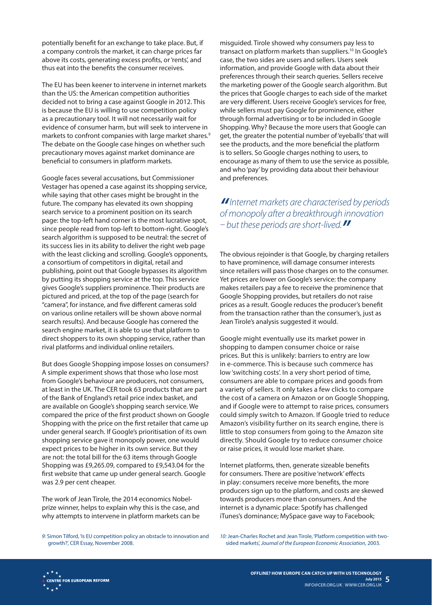potentially benefit for an exchange to take place. But, if a company controls the market, it can charge prices far above its costs, generating excess profits, or 'rents', and thus eat into the benefits the consumer receives.

The EU has been keener to intervene in internet markets than the US: the American competition authorities decided not to bring a case against Google in 2012. This is because the EU is willing to use competition policy as a precautionary tool. It will not necessarily wait for evidence of consumer harm, but will seek to intervene in markets to confront companies with large market shares.<sup>9</sup> The debate on the Google case hinges on whether such precautionary moves against market dominance are beneficial to consumers in platform markets.

Google faces several accusations, but Commissioner Vestager has opened a case against its shopping service, while saying that other cases might be brought in the future. The company has elevated its own shopping search service to a prominent position on its search page: the top-left hand corner is the most lucrative spot, since people read from top-left to bottom-right. Google's search algorithm is supposed to be neutral: the secret of its success lies in its ability to deliver the right web page with the least clicking and scrolling. Google's opponents, a consortium of competitors in digital, retail and publishing, point out that Google bypasses its algorithm by putting its shopping service at the top. This service gives Google's suppliers prominence. Their products are pictured and priced, at the top of the page (search for "camera", for instance, and five different cameras sold on various online retailers will be shown above normal search results). And because Google has cornered the search engine market, it is able to use that platform to direct shoppers to its own shopping service, rather than rival platforms and individual online retailers.

But does Google Shopping impose losses on consumers? A simple experiment shows that those who lose most from Google's behaviour are producers, not consumers, at least in the UK. The CER took 63 products that are part of the Bank of England's retail price index basket, and are available on Google's shopping search service. We compared the price of the first product shown on Google Shopping with the price on the first retailer that came up under general search. If Google's prioritisation of its own shopping service gave it monopoly power, one would expect prices to be higher in its own service. But they are not: the total bill for the 63 items through Google Shopping was £9,265.09, compared to £9,543.04 for the first website that came up under general search. Google was 2.9 per cent cheaper.

The work of Jean Tirole, the 2014 economics Nobelprize winner, helps to explain why this is the case, and why attempts to intervene in platform markets can be

misguided. Tirole showed why consumers pay less to transact on platform markets than suppliers.<sup>10</sup> In Google's case, the two sides are users and sellers. Users seek information, and provide Google with data about their preferences through their search queries. Sellers receive the marketing power of the Google search algorithm. But the prices that Google charges to each side of the market are very different. Users receive Google's services for free, while sellers must pay Google for prominence, either through formal advertising or to be included in Google Shopping. Why? Because the more users that Google can get, the greater the potential number of 'eyeballs' that will see the products, and the more beneficial the platform is to sellers. So Google charges nothing to users, to encourage as many of them to use the service as possible, and who 'pay' by providing data about their behaviour and preferences.

#### *"Internet markets are characterised by periods of monopoly after a breakthrough innovation – but these periods are short-lived."*

The obvious rejoinder is that Google, by charging retailers to have prominence, will damage consumer interests since retailers will pass those charges on to the consumer. Yet prices are lower on Google's service: the company makes retailers pay a fee to receive the prominence that Google Shopping provides, but retailers do not raise prices as a result. Google reduces the producer's benefit from the transaction rather than the consumer's, just as Jean Tirole's analysis suggested it would.

Google might eventually use its market power in shopping to dampen consumer choice or raise prices. But this is unlikely: barriers to entry are low in e-commerce. This is because such commerce has low 'switching costs'. In a very short period of time, consumers are able to compare prices and goods from a variety of sellers. It only takes a few clicks to compare the cost of a camera on Amazon or on Google Shopping, and if Google were to attempt to raise prices, consumers could simply switch to Amazon. If Google tried to reduce Amazon's visibility further on its search engine, there is little to stop consumers from going to the Amazon site directly. Should Google try to reduce consumer choice or raise prices, it would lose market share.

Internet platforms, then, generate sizeable benefits for consumers. There are positive 'network' effects in play: consumers receive more benefits, the more producers sign up to the platform, and costs are skewed towards producers more than consumers. And the internet is a dynamic place: Spotify has challenged iTunes's dominance; MySpace gave way to Facebook;

*9:* Simon Tilford, 'Is EU competition policy an obstacle to innovation and growth?', CER Essay, November 2008.

*10:* Jean-Charles Rochet and Jean Tirole, 'Platform competition with twosided markets', *Journal of the European Economic Association*, 2003.

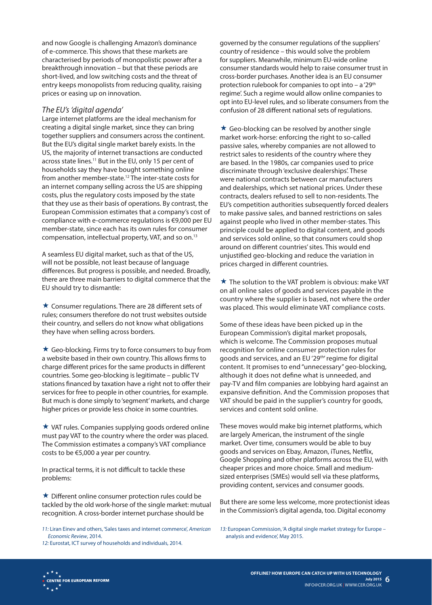and now Google is challenging Amazon's dominance of e-commerce. This shows that these markets are characterised by periods of monopolistic power after a breakthrough innovation – but that these periods are short-lived, and low switching costs and the threat of entry keeps monopolists from reducing quality, raising prices or easing up on innovation.

#### *The EU's 'digital agenda'*

Large internet platforms are the ideal mechanism for creating a digital single market, since they can bring together suppliers and consumers across the continent. But the EU's digital single market barely exists. In the US, the majority of internet transactions are conducted across state lines.<sup>11</sup> But in the EU, only 15 per cent of households say they have bought something online from another member-state.12 The inter-state costs for an internet company selling across the US are shipping costs, plus the regulatory costs imposed by the state that they use as their basis of operations. By contrast, the European Commission estimates that a company's cost of compliance with e-commerce regulations is €9,000 per EU member-state, since each has its own rules for consumer compensation, intellectual property, VAT, and so on.13

A seamless EU digital market, such as that of the US, will not be possible, not least because of language differences. But progress is possible, and needed. Broadly, there are three main barriers to digital commerce that the EU should try to dismantle:

 $\star$  Consumer regulations. There are 28 different sets of rules; consumers therefore do not trust websites outside their country, and sellers do not know what obligations they have when selling across borders.

 $\star$  Geo-blocking. Firms try to force consumers to buy from a website based in their own country. This allows firms to charge different prices for the same products in different countries. Some geo-blocking is legitimate – public TV stations financed by taxation have a right not to offer their services for free to people in other countries, for example. But much is done simply to 'segment' markets, and charge higher prices or provide less choice in some countries.

 $\star$  VAT rules. Companies supplying goods ordered online must pay VAT to the country where the order was placed. The Commission estimates a company's VAT compliance costs to be €5,000 a year per country.

In practical terms, it is not difficult to tackle these problems:

 $\star$  Different online consumer protection rules could be tackled by the old work-horse of the single market: mutual recognition. A cross-border internet purchase should be

governed by the consumer regulations of the suppliers' country of residence – this would solve the problem for suppliers. Meanwhile, minimum EU-wide online consumer standards would help to raise consumer trust in cross-border purchases. Another idea is an EU consumer protection rulebook for companies to opt into - a '29<sup>th</sup> regime'. Such a regime would allow online companies to opt into EU-level rules, and so liberate consumers from the confusion of 28 different national sets of regulations.

 $\star$  Geo-blocking can be resolved by another single market work-horse: enforcing the right to so-called passive sales, whereby companies are not allowed to restrict sales to residents of the country where they are based. In the 1980s, car companies used to price discriminate through 'exclusive dealerships'. These were national contracts between car manufacturers and dealerships, which set national prices. Under these contracts, dealers refused to sell to non-residents. The EU's competition authorities subsequently forced dealers to make passive sales, and banned restrictions on sales against people who lived in other member-states. This principle could be applied to digital content, and goods and services sold online, so that consumers could shop around on different countries' sites. This would end unjustified geo-blocking and reduce the variation in prices charged in different countries.

 $\star$  The solution to the VAT problem is obvious: make VAT on all online sales of goods and services payable in the country where the supplier is based, not where the order was placed. This would eliminate VAT compliance costs.

Some of these ideas have been picked up in the European Commission's digital market proposals, which is welcome. The Commission proposes mutual recognition for online consumer protection rules for goods and services, and an EU '29<sup>th</sup>' regime for digital content. It promises to end "unnecessary" geo-blocking, although it does not define what is unneeded, and pay-TV and film companies are lobbying hard against an expansive definition. And the Commission proposes that VAT should be paid in the supplier's country for goods, services and content sold online.

These moves would make big internet platforms, which are largely American, the instrument of the single market. Over time, consumers would be able to buy goods and services on Ebay, Amazon, iTunes, Netflix, Google Shopping and other platforms across the EU, with cheaper prices and more choice. Small and mediumsized enterprises (SMEs) would sell via these platforms, providing content, services and consumer goods.

But there are some less welcome, more protectionist ideas in the Commission's digital agenda, too. Digital economy

*13:* European Commission, 'A digital single market strategy for Europe – analysis and evidence', May 2015.



*<sup>11:</sup>* Liran Einev and others, 'Sales taxes and internet commerce', *American Economic Review*, 2014.

*<sup>12:</sup>* Eurostat, ICT survey of households and individuals, 2014.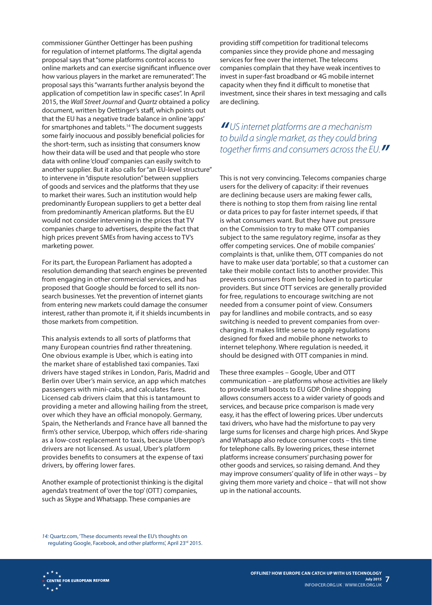commissioner Günther Oettinger has been pushing for regulation of internet platforms. The digital agenda proposal says that "some platforms control access to online markets and can exercise significant influence over how various players in the market are remunerated". The proposal says this "warrants further analysis beyond the application of competition law in specific cases". In April 2015, the *Wall Street Journal* and *Quartz* obtained a policy document, written by Oettinger's staff, which points out that the EU has a negative trade balance in online 'apps' for smartphones and tablets.<sup>14</sup> The document suggests some fairly inocuous and possibly beneficial policies for the short-term, such as insisting that consumers know how their data will be used and that people who store data with online 'cloud' companies can easily switch to another supplier. But it also calls for "an EU-level structure" to intervene in "dispute resolution" between suppliers of goods and services and the platforms that they use to market their wares. Such an institution would help predominantly European suppliers to get a better deal from predominantly American platforms. But the EU would not consider intervening in the prices that TV companies charge to advertisers, despite the fact that high prices prevent SMEs from having access to TV's marketing power.

For its part, the European Parliament has adopted a resolution demanding that search engines be prevented from engaging in other commercial services, and has proposed that Google should be forced to sell its nonsearch businesses. Yet the prevention of internet giants from entering new markets could damage the consumer interest, rather than promote it, if it shields incumbents in those markets from competition.

This analysis extends to all sorts of platforms that many European countries find rather threatening. One obvious example is Uber, which is eating into the market share of established taxi companies. Taxi drivers have staged strikes in London, Paris, Madrid and Berlin over Uber's main service, an app which matches passengers with mini-cabs, and calculates fares. Licensed cab drivers claim that this is tantamount to providing a meter and allowing hailing from the street, over which they have an official monopoly. Germany, Spain, the Netherlands and France have all banned the firm's other service, Uberpop, which offers ride-sharing as a low-cost replacement to taxis, because Uberpop's drivers are not licensed. As usual, Uber's platform provides benefits to consumers at the expense of taxi drivers, by offering lower fares.

Another example of protectionist thinking is the digital agenda's treatment of 'over the top' (OTT) companies, such as Skype and Whatsapp. These companies are

providing stiff competition for traditional telecoms companies since they provide phone and messaging services for free over the internet. The telecoms companies complain that they have weak incentives to invest in super-fast broadband or 4G mobile internet capacity when they find it difficult to monetise that investment, since their shares in text messaging and calls are declining.

*"US internet platforms are a mechanism to build a single market, as they could bring together firms and consumers across the EU."*

This is not very convincing. Telecoms companies charge users for the delivery of capacity: if their revenues are declining because users are making fewer calls, there is nothing to stop them from raising line rental or data prices to pay for faster internet speeds, if that is what consumers want. But they have put pressure on the Commission to try to make OTT companies subject to the same regulatory regime, insofar as they offer competing services. One of mobile companies' complaints is that, unlike them, OTT companies do not have to make user data 'portable', so that a customer can take their mobile contact lists to another provider. This prevents consumers from being locked in to particular providers. But since OTT services are generally provided for free, regulations to encourage switching are not needed from a consumer point of view. Consumers pay for landlines and mobile contracts, and so easy switching is needed to prevent companies from overcharging. It makes little sense to apply regulations designed for fixed and mobile phone networks to internet telephony. Where regulation is needed, it should be designed with OTT companies in mind.

These three examples – Google, Uber and OTT communication – are platforms whose activities are likely to provide small boosts to EU GDP. Online shopping allows consumers access to a wider variety of goods and services, and because price comparison is made very easy, it has the effect of lowering prices. Uber undercuts taxi drivers, who have had the misfortune to pay very large sums for licenses and charge high prices. And Skype and Whatsapp also reduce consumer costs – this time for telephone calls. By lowering prices, these internet platforms increase consumers' purchasing power for other goods and services, so raising demand. And they may improve consumers' quality of life in other ways – by giving them more variety and choice – that will not show up in the national accounts.

*14:* Quartz.com, 'These documents reveal the EU's thoughts on regulating Google, Facebook, and other platforms', April 23rd 2015.

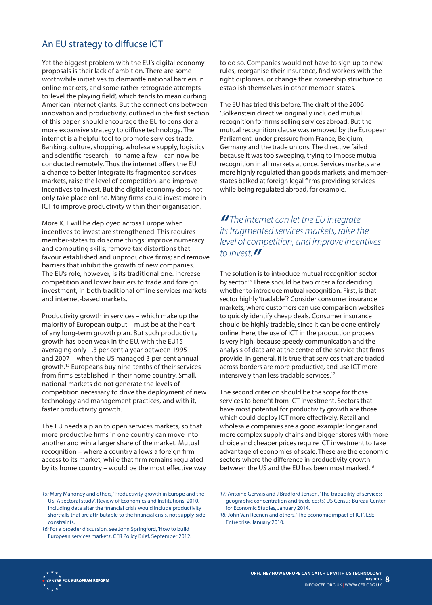### An EU strategy to diffucse ICT

Yet the biggest problem with the EU's digital economy proposals is their lack of ambition. There are some worthwhile initiatives to dismantle national barriers in online markets, and some rather retrograde attempts to 'level the playing field', which tends to mean curbing American internet giants. But the connections between innovation and productivity, outlined in the first section of this paper, should encourage the EU to consider a more expansive strategy to diffuse technology. The internet is a helpful tool to promote services trade. Banking, culture, shopping, wholesale supply, logistics and scientific research – to name a few – can now be conducted remotely. Thus the internet offers the EU a chance to better integrate its fragmented services markets, raise the level of competition, and improve incentives to invest. But the digital economy does not only take place online. Many firms could invest more in ICT to improve productivity within their organisation.

More ICT will be deployed across Europe when incentives to invest are strengthened. This requires member-states to do some things: improve numeracy and computing skills; remove tax distortions that favour established and unproductive firms; and remove barriers that inhibit the growth of new companies. The EU's role, however, is its traditional one: increase competition and lower barriers to trade and foreign investment, in both traditional offline services markets and internet-based markets.

Productivity growth in services – which make up the majority of European output – must be at the heart of any long-term growth plan. But such productivity growth has been weak in the EU, with the EU15 averaging only 1.3 per cent a year between 1995 and 2007 – when the US managed 3 per cent annual growth.15 Europeans buy nine-tenths of their services from firms established in their home country. Small, national markets do not generate the levels of competition necessary to drive the deployment of new technology and management practices, and with it, faster productivity growth.

The EU needs a plan to open services markets, so that more productive firms in one country can move into another and win a larger share of the market. Mutual recognition – where a country allows a foreign firm access to its market, while that firm remains regulated by its home country – would be the most effective way

*15:* Mary Mahoney and others, 'Productivity growth in Europe and the US: A sectoral study', Review of Economics and Institutions, 2010. Including data after the financial crisis would include productivity shortfalls that are attributable to the financial crisis, not supply-side constraints.

*16:* For a broader discussion, see John Springford, 'How to build European services markets', CER Policy Brief, September 2012. to do so. Companies would not have to sign up to new rules, reorganise their insurance, find workers with the right diplomas, or change their ownership structure to establish themselves in other member-states.

The EU has tried this before. The draft of the 2006 'Bolkenstein directive' originally included mutual recognition for firms selling services abroad. But the mutual recognition clause was removed by the European Parliament, under pressure from France, Belgium, Germany and the trade unions. The directive failed because it was too sweeping, trying to impose mutual recognition in all markets at once. Services markets are more highly regulated than goods markets, and memberstates balked at foreign legal firms providing services while being regulated abroad, for example.

#### *" The internet can let the EU integrate its fragmented services markets, raise the level of competition, and improve incentives to invest."*

The solution is to introduce mutual recognition sector by sector.<sup>16</sup> There should be two criteria for deciding whether to introduce mutual recognition. First, is that sector highly 'tradable'? Consider consumer insurance markets, where customers can use comparison websites to quickly identify cheap deals. Consumer insurance should be highly tradable, since it can be done entirely online. Here, the use of ICT in the production process is very high, because speedy communication and the analysis of data are at the centre of the service that firms provide. In general, it is true that services that are traded across borders are more productive, and use ICT more intensively than less tradable services.<sup>17</sup>

The second criterion should be the scope for those services to benefit from ICT investment. Sectors that have most potential for productivity growth are those which could deploy ICT more effectively. Retail and wholesale companies are a good example: longer and more complex supply chains and bigger stores with more choice and cheaper prices require ICT investment to take advantage of economies of scale. These are the economic sectors where the difference in productivity growth between the US and the EU has been most marked.<sup>18</sup>



*<sup>17:</sup>* Antoine Gervais and J Bradford Jensen, 'The tradability of services: geographic concentration and trade costs', US Census Bureau Center for Economic Studies, January 2014.

*<sup>18:</sup>* John Van Reenen and others, 'The economic impact of ICT', LSE Entreprise, January 2010.